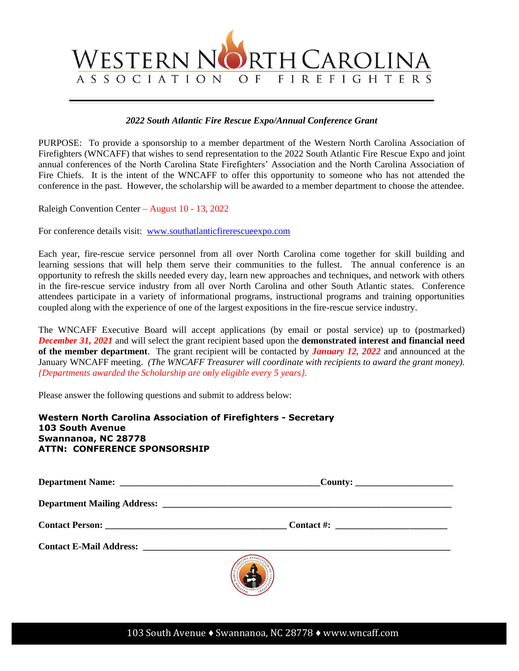

## *2022 South Atlantic Fire Rescue Expo/Annual Conference Grant*

PURPOSE: To provide a sponsorship to a member department of the Western North Carolina Association of Firefighters (WNCAFF) that wishes to send representation to the 2022 South Atlantic Fire Rescue Expo and joint annual conferences of the North Carolina State Firefighters' Association and the North Carolina Association of Fire Chiefs. It is the intent of the WNCAFF to offer this opportunity to someone who has not attended the conference in the past. However, the scholarship will be awarded to a member department to choose the attendee.

Raleigh Convention Center – August 10 - 13, 2022

For conference details visit: [www.southatlanticfirerescueexpo.com](http://www.southatlanticfirerescueexpo.com/)

Each year, fire-rescue service personnel from all over North Carolina come together for skill building and learning sessions that will help them serve their communities to the fullest. The annual conference is an opportunity to refresh the skills needed every day, learn new approaches and techniques, and network with others in the fire-rescue service industry from all over North Carolina and other South Atlantic states. Conference attendees participate in a variety of informational programs, instructional programs and training opportunities coupled along with the experience of one of the largest expositions in the fire-rescue service industry.

The WNCAFF Executive Board will accept applications (by email or postal service) up to (postmarked) *December 31, 2021* and will select the grant recipient based upon the **demonstrated interest and financial need of the member department**. The grant recipient will be contacted by *January 12, 2022* and announced at the January WNCAFF meeting. *(The WNCAFF Treasurer will coordinate with recipients to award the grant money). {Departments awarded the Scholarship are only eligible every 5 years}.*

Please answer the following questions and submit to address below:

| Western North Carolina Association of Firefighters - Secretary<br><b>103 South Avenue</b><br>Swannanoa, NC 28778<br><b>ATTN: CONFERENCE SPONSORSHIP</b>                                                                             |                                        |  |  |  |  |  |
|-------------------------------------------------------------------------------------------------------------------------------------------------------------------------------------------------------------------------------------|----------------------------------------|--|--|--|--|--|
|                                                                                                                                                                                                                                     |                                        |  |  |  |  |  |
| <b>Department Mailing Address:</b> No. 2016. The Second Second Second Second Second Second Second Second Second Second Second Second Second Second Second Second Second Second Second Second Second Second Second Second Second Sec |                                        |  |  |  |  |  |
|                                                                                                                                                                                                                                     | <b>Contact Person:</b> Contact Person: |  |  |  |  |  |
|                                                                                                                                                                                                                                     |                                        |  |  |  |  |  |